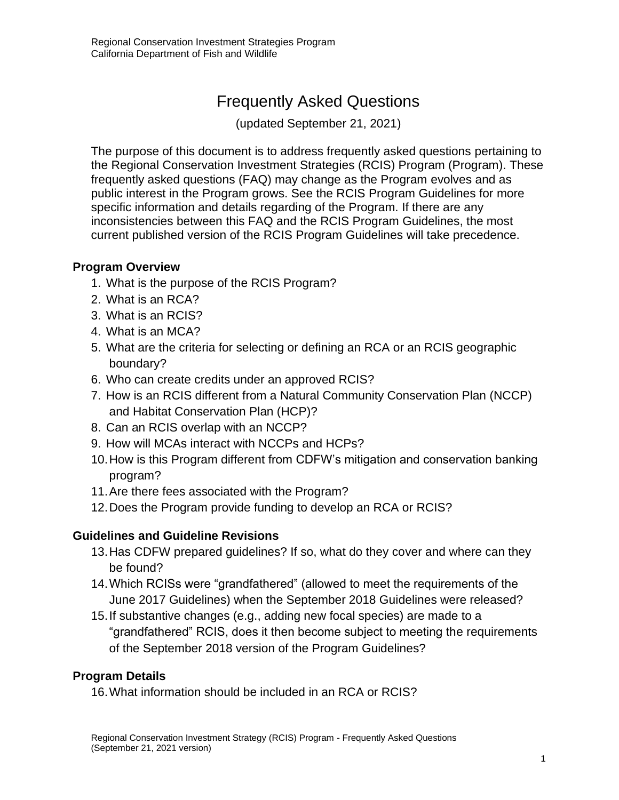# Frequently Asked Questions

(updated September 21, 2021)

The purpose of this document is to address frequently asked questions pertaining to the Regional Conservation Investment Strategies (RCIS) Program (Program). These frequently asked questions (FAQ) may change as the Program evolves and as public interest in the Program grows. See the RCIS Program Guidelines for more specific information and details regarding of the Program. If there are any inconsistencies between this FAQ and the RCIS Program Guidelines, the most current published version of the RCIS Program Guidelines will take precedence.

#### **[Program Overview](#page-2-0)**

- 1. [What is the purpose of the RCIS Program?](#page-2-1)
- 2. [What is an RCA?](#page-2-2)
- 3. [What is an RCIS?](#page-2-3)
- 4. [What is an MCA?](#page-3-0)
- 5. [What are the criteria for selecting or defining an RCA or an RCIS geographic](#page-3-1)  [boundary?](#page-3-1)
- 6. [Who can create credits under an approved RCIS?](#page-3-2)
- 7. [How is an RCIS different from a Natural Community Conservation Plan \(NCCP\)](#page-4-0)  [and Habitat Conservation Plan \(HCP\)?](#page-4-0)
- 8. [Can an RCIS overlap with an NCCP?](#page-4-1)
- 9. How will MCAs interact [with NCCPs and HCPs?](#page-4-2)
- 10.How is this Program different [from CDFW's mitigation and conservation banking](#page-5-0)  [program?](#page-5-0)
- [11.Are there fees associated with the Program?](#page-5-1)
- [12.Does the Program provide funding to develop an RCA or RCIS?](#page-5-2)

# **[Guidelines and Guideline Revisions](#page-6-0)**

- [13.Has CDFW prepared guidelines? If so, what do they cover and where can they](#page-6-1)  [be found?](#page-6-1)
- [14.Which RCISs were "grandfathered" \(allowed to meet the requirements of the](#page-6-2)  [June 2017 Guidelines\) when the September 2018 Guidelines were released?](#page-6-2)
- [15.If substantive changes \(e.g., adding new focal species\) are made to a](#page-7-0)  ["grandfathered" RCIS, does it then become subject to meeting the requirements](#page-7-0)  [of the September 2018 version of the Program Guidelines?](#page-7-0)

#### **[Program Details](#page-7-1)**

[16.What information should be included in an RCA or RCIS?](#page-7-2)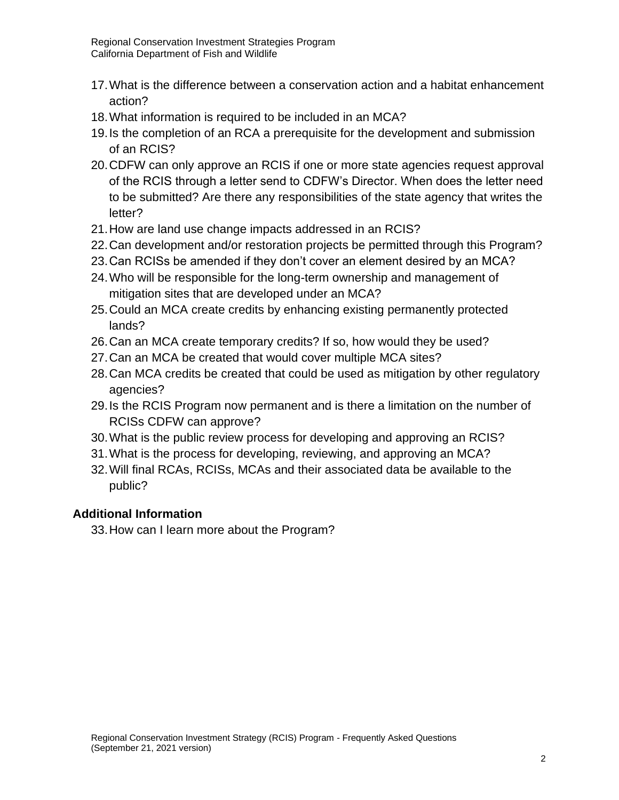- [17.What is the difference between a conservation action and a habitat enhancement](#page-8-0)  [action?](#page-8-0)
- [18.What information is required to be included in an MCA?](#page-8-1)
- [19.Is the completion of an RCA a prerequisite for the development and submission](#page-9-0)  [of an RCIS?](#page-9-0)
- [20.CDFW can only approve an RCIS if one or more state agencies request approval](#page-9-1)  [of the RCIS through a letter send to CDFW's Director. When does the letter need](#page-9-1)  [to be submitted? Are there any responsibilities of the state agency that writes the](#page-9-1)  [letter?](#page-9-1)
- [21.How are land use change impacts addressed in an RCIS?](#page-9-2)
- [22.Can development and/or restoration projects be permitted through this Program?](#page-9-3)
- [23.Can RCISs be amended if they don't cover an element desired by an MCA?](#page-9-4)
- [24.Who will be responsible for the long-term ownership and management of](#page-10-0)  [mitigation sites that are developed under an MCA?](#page-10-0)
- [25.Could an MCA create credits by enhancing existing permanently protected](#page-10-1)  [lands?](#page-10-1)
- [26.Can an MCA create temporary credits? If so, how would they be used?](#page-10-2)
- [27.Can an MCA be created that would cover multiple MCA sites?](#page-10-3)
- [28.Can MCA credits be created that could be used as mitigation by other regulatory](#page-10-4)  [agencies?](#page-10-4)
- [29.Is the RCIS Program now permanent and is there a limitation on the number of](#page-11-0)  [RCISs CDFW can approve?](#page-11-0)
- [30.What is the public review process for developing and approving an RCIS?](#page-11-1)
- [31.What is the process for developing, reviewing, and approving an MCA?](#page-12-0)
- [32.Will final RCAs, RCISs, MCAs and their associated data be available to the](#page-12-1)  [public?](#page-12-1)

# **[Additional Information](#page-12-2)**

[33.How can I learn more about the Program?](#page-12-3)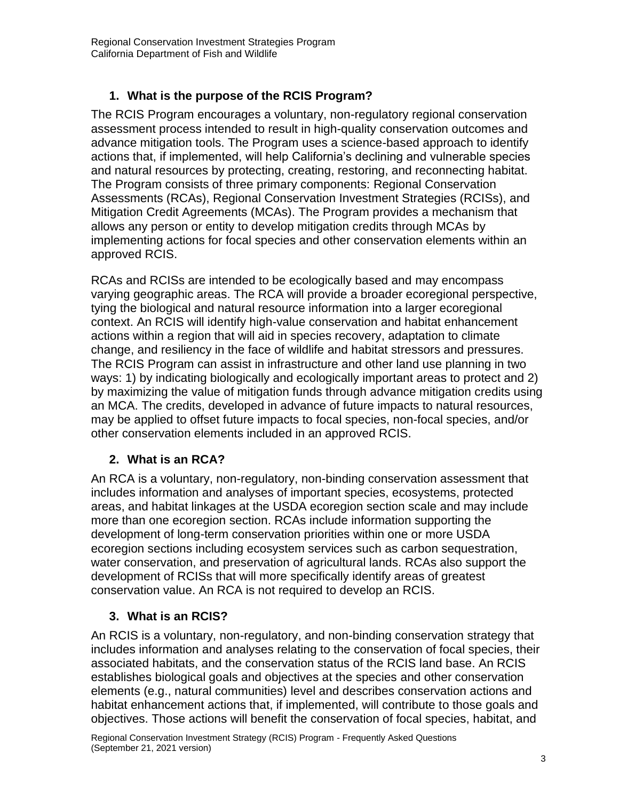# **1. What is the purpose of the RCIS Program?**

<span id="page-2-1"></span><span id="page-2-0"></span>The RCIS Program encourages a voluntary, non-regulatory regional conservation assessment process intended to result in high-quality conservation outcomes and advance mitigation tools. The Program uses a science-based approach to identify actions that, if implemented, will help California's declining and vulnerable species and natural resources by protecting, creating, restoring, and reconnecting habitat. The Program consists of three primary components: Regional Conservation Assessments (RCAs), Regional Conservation Investment Strategies (RCISs), and Mitigation Credit Agreements (MCAs). The Program provides a mechanism that allows any person or entity to develop mitigation credits through MCAs by implementing actions for focal species and other conservation elements within an approved RCIS.

RCAs and RCISs are intended to be ecologically based and may encompass varying geographic areas. The RCA will provide a broader ecoregional perspective, tying the biological and natural resource information into a larger ecoregional context. An RCIS will identify high-value conservation and habitat enhancement actions within a region that will aid in species recovery, adaptation to climate change, and resiliency in the face of wildlife and habitat stressors and pressures. The RCIS Program can assist in infrastructure and other land use planning in two ways: 1) by indicating biologically and ecologically important areas to protect and 2) by maximizing the value of mitigation funds through advance mitigation credits using an MCA. The credits, developed in advance of future impacts to natural resources, may be applied to offset future impacts to focal species, non-focal species, and/or other conservation elements included in an approved RCIS.

# **2. What is an RCA?**

<span id="page-2-2"></span>An RCA is a voluntary, non-regulatory, non-binding conservation assessment that includes information and analyses of important species, ecosystems, protected areas, and habitat linkages at the USDA ecoregion section scale and may include more than one ecoregion section. RCAs include information supporting the development of long-term conservation priorities within one or more USDA ecoregion sections including ecosystem services such as carbon sequestration, water conservation, and preservation of agricultural lands. RCAs also support the development of RCISs that will more specifically identify areas of greatest conservation value. An RCA is not required to develop an RCIS.

# **3. What is an RCIS?**

<span id="page-2-3"></span>An RCIS is a voluntary, non-regulatory, and non-binding conservation strategy that includes information and analyses relating to the conservation of focal species, their associated habitats, and the conservation status of the RCIS land base. An RCIS establishes biological goals and objectives at the species and other conservation elements (e.g., natural communities) level and describes conservation actions and habitat enhancement actions that, if implemented, will contribute to those goals and objectives. Those actions will benefit the conservation of focal species, habitat, and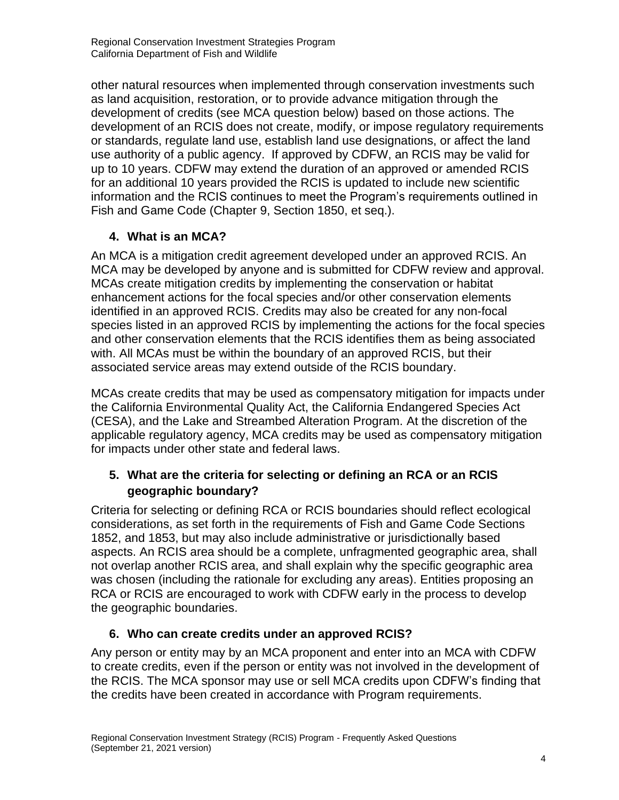other natural resources when implemented through conservation investments such as land acquisition, restoration, or to provide advance mitigation through the development of credits (see MCA question below) based on those actions. The development of an RCIS does not create, modify, or impose regulatory requirements or standards, regulate land use, establish land use designations, or affect the land use authority of a public agency. If approved by CDFW, an RCIS may be valid for up to 10 years. CDFW may extend the duration of an approved or amended RCIS for an additional 10 years provided the RCIS is updated to include new scientific information and the RCIS continues to meet the Program's requirements outlined in Fish and Game Code (Chapter 9, Section 1850, et seq.).

# **4. What is an MCA?**

<span id="page-3-0"></span>An MCA is a mitigation credit agreement developed under an approved RCIS. An MCA may be developed by anyone and is submitted for CDFW review and approval. MCAs create mitigation credits by implementing the conservation or habitat enhancement actions for the focal species and/or other conservation elements identified in an approved RCIS. Credits may also be created for any non-focal species listed in an approved RCIS by implementing the actions for the focal species and other conservation elements that the RCIS identifies them as being associated with. All MCAs must be within the boundary of an approved RCIS, but their associated service areas may extend outside of the RCIS boundary.

MCAs create credits that may be used as compensatory mitigation for impacts under the California Environmental Quality Act, the California Endangered Species Act (CESA), and the Lake and Streambed Alteration Program. At the discretion of the applicable regulatory agency, MCA credits may be used as compensatory mitigation for impacts under other state and federal laws.

# <span id="page-3-1"></span>**5. What are the criteria for selecting or defining an RCA or an RCIS geographic boundary?**

Criteria for selecting or defining RCA or RCIS boundaries should reflect ecological considerations, as set forth in the requirements of Fish and Game Code Sections 1852, and 1853, but may also include administrative or jurisdictionally based aspects. An RCIS area should be a complete, unfragmented geographic area, shall not overlap another RCIS area, and shall explain why the specific geographic area was chosen (including the rationale for excluding any areas). Entities proposing an RCA or RCIS are encouraged to work with CDFW early in the process to develop the geographic boundaries.

# **6. Who can create credits under an approved RCIS?**

<span id="page-3-2"></span>Any person or entity may by an MCA proponent and enter into an MCA with CDFW to create credits, even if the person or entity was not involved in the development of the RCIS. The MCA sponsor may use or sell MCA credits upon CDFW's finding that the credits have been created in accordance with Program requirements.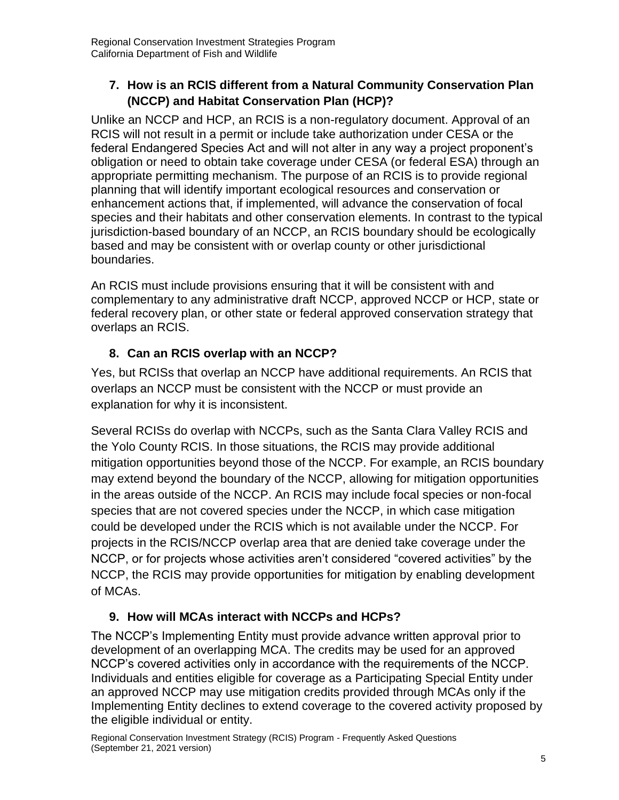# <span id="page-4-0"></span>**7. How is an RCIS different from a Natural Community Conservation Plan (NCCP) and Habitat Conservation Plan (HCP)?**

Unlike an NCCP and HCP, an RCIS is a non-regulatory document. Approval of an RCIS will not result in a permit or include take authorization under CESA or the federal Endangered Species Act and will not alter in any way a project proponent's obligation or need to obtain take coverage under CESA (or federal ESA) through an appropriate permitting mechanism. The purpose of an RCIS is to provide regional planning that will identify important ecological resources and conservation or enhancement actions that, if implemented, will advance the conservation of focal species and their habitats and other conservation elements. In contrast to the typical jurisdiction-based boundary of an NCCP, an RCIS boundary should be ecologically based and may be consistent with or overlap county or other jurisdictional boundaries.

An RCIS must include provisions ensuring that it will be consistent with and complementary to any administrative draft NCCP, approved NCCP or HCP, state or federal recovery plan, or other state or federal approved conservation strategy that overlaps an RCIS.

# **8. Can an RCIS overlap with an NCCP?**

<span id="page-4-1"></span>Yes, but RCISs that overlap an NCCP have additional requirements. An RCIS that overlaps an NCCP must be consistent with the NCCP or must provide an explanation for why it is inconsistent.

Several RCISs do overlap with NCCPs, such as the Santa Clara Valley RCIS and the Yolo County RCIS. In those situations, the RCIS may provide additional mitigation opportunities beyond those of the NCCP. For example, an RCIS boundary may extend beyond the boundary of the NCCP, allowing for mitigation opportunities in the areas outside of the NCCP. An RCIS may include focal species or non-focal species that are not covered species under the NCCP, in which case mitigation could be developed under the RCIS which is not available under the NCCP. For projects in the RCIS/NCCP overlap area that are denied take coverage under the NCCP, or for projects whose activities aren't considered "covered activities" by the NCCP, the RCIS may provide opportunities for mitigation by enabling development of MCAs.

# **9. How will MCAs interact with NCCPs and HCPs?**

<span id="page-4-2"></span>The NCCP's Implementing Entity must provide advance written approval prior to development of an overlapping MCA. The credits may be used for an approved NCCP's covered activities only in accordance with the requirements of the NCCP. Individuals and entities eligible for coverage as a Participating Special Entity under an approved NCCP may use mitigation credits provided through MCAs only if the Implementing Entity declines to extend coverage to the covered activity proposed by the eligible individual or entity.

Regional Conservation Investment Strategy (RCIS) Program - Frequently Asked Questions (September 21, 2021 version)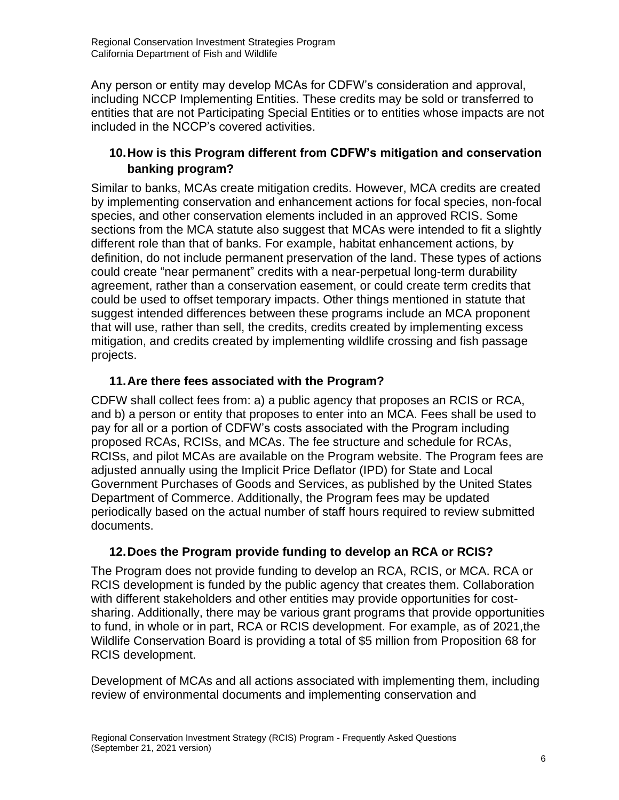Any person or entity may develop MCAs for CDFW's consideration and approval, including NCCP Implementing Entities. These credits may be sold or transferred to entities that are not Participating Special Entities or to entities whose impacts are not included in the NCCP's covered activities.

# <span id="page-5-0"></span>**10.How is this Program different from CDFW's mitigation and conservation banking program?**

Similar to banks, MCAs create mitigation credits. However, MCA credits are created by implementing conservation and enhancement actions for focal species, non-focal species, and other conservation elements included in an approved RCIS. Some sections from the MCA statute also suggest that MCAs were intended to fit a slightly different role than that of banks. For example, habitat enhancement actions, by definition, do not include permanent preservation of the land. These types of actions could create "near permanent" credits with a near-perpetual long-term durability agreement, rather than a conservation easement, or could create term credits that could be used to offset temporary impacts. Other things mentioned in statute that suggest intended differences between these programs include an MCA proponent that will use, rather than sell, the credits, credits created by implementing excess mitigation, and credits created by implementing wildlife crossing and fish passage projects.

#### **11.Are there fees associated with the Program?**

<span id="page-5-1"></span>CDFW shall collect fees from: a) a public agency that proposes an RCIS or RCA, and b) a person or entity that proposes to enter into an MCA. Fees shall be used to pay for all or a portion of CDFW's costs associated with the Program including proposed RCAs, RCISs, and MCAs. The fee structure and schedule for RCAs, RCISs, and pilot MCAs are available on the Program website. The Program fees are adjusted annually using the Implicit Price Deflator (IPD) for State and Local Government Purchases of Goods and Services, as published by the United States Department of Commerce. Additionally, the Program fees may be updated periodically based on the actual number of staff hours required to review submitted documents.

# **12.Does the Program provide funding to develop an RCA or RCIS?**

<span id="page-5-2"></span>The Program does not provide funding to develop an RCA, RCIS, or MCA. RCA or RCIS development is funded by the public agency that creates them. Collaboration with different stakeholders and other entities may provide opportunities for costsharing. Additionally, there may be various grant programs that provide opportunities to fund, in whole or in part, RCA or RCIS development. For example, as of 2021,the Wildlife Conservation Board is providing a total of \$5 million from Proposition 68 for RCIS development.

Development of MCAs and all actions associated with implementing them, including review of environmental documents and implementing conservation and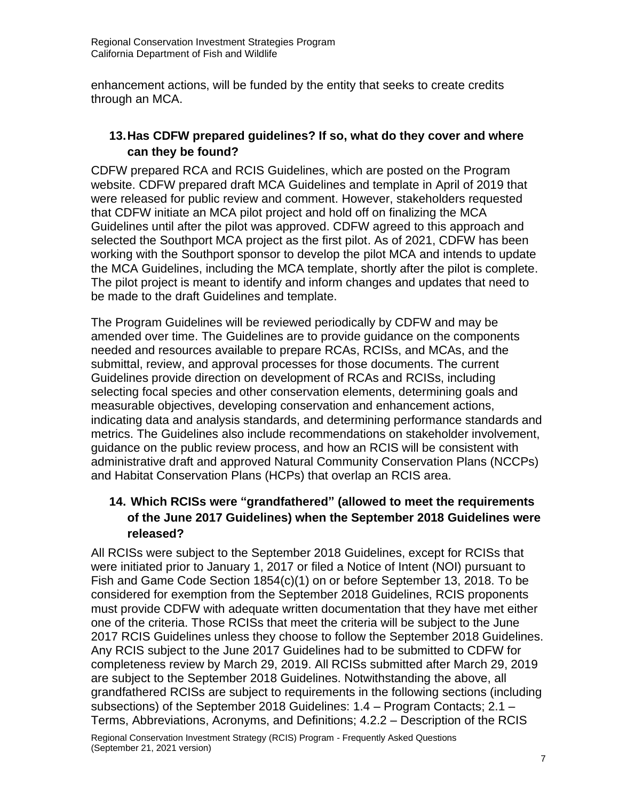enhancement actions, will be funded by the entity that seeks to create credits through an MCA.

#### <span id="page-6-1"></span><span id="page-6-0"></span>**13.Has CDFW prepared guidelines? If so, what do they cover and where can they be found?**

CDFW prepared RCA and RCIS Guidelines, which are posted on the Program website. CDFW prepared draft MCA Guidelines and template in April of 2019 that were released for public review and comment. However, stakeholders requested that CDFW initiate an MCA pilot project and hold off on finalizing the MCA Guidelines until after the pilot was approved. CDFW agreed to this approach and selected the Southport MCA project as the first pilot. As of 2021, CDFW has been working with the Southport sponsor to develop the pilot MCA and intends to update the MCA Guidelines, including the MCA template, shortly after the pilot is complete. The pilot project is meant to identify and inform changes and updates that need to be made to the draft Guidelines and template.

The Program Guidelines will be reviewed periodically by CDFW and may be amended over time. The Guidelines are to provide guidance on the components needed and resources available to prepare RCAs, RCISs, and MCAs, and the submittal, review, and approval processes for those documents. The current Guidelines provide direction on development of RCAs and RCISs, including selecting focal species and other conservation elements, determining goals and measurable objectives, developing conservation and enhancement actions, indicating data and analysis standards, and determining performance standards and metrics. The Guidelines also include recommendations on stakeholder involvement, guidance on the public review process, and how an RCIS will be consistent with administrative draft and approved Natural Community Conservation Plans (NCCPs) and Habitat Conservation Plans (HCPs) that overlap an RCIS area.

#### <span id="page-6-2"></span>**14. Which RCISs were "grandfathered" (allowed to meet the requirements of the June 2017 Guidelines) when the September 2018 Guidelines were released?**

All RCISs were subject to the September 2018 Guidelines, except for RCISs that were initiated prior to January 1, 2017 or filed a Notice of Intent (NOI) pursuant to Fish and Game Code Section 1854(c)(1) on or before September 13, 2018. To be considered for exemption from the September 2018 Guidelines, RCIS proponents must provide CDFW with adequate written documentation that they have met either one of the criteria. Those RCISs that meet the criteria will be subject to the June 2017 RCIS Guidelines unless they choose to follow the September 2018 Guidelines. Any RCIS subject to the June 2017 Guidelines had to be submitted to CDFW for completeness review by March 29, 2019. All RCISs submitted after March 29, 2019 are subject to the September 2018 Guidelines. Notwithstanding the above, all grandfathered RCISs are subject to requirements in the following sections (including subsections) of the September 2018 Guidelines: 1.4 – Program Contacts; 2.1 – Terms, Abbreviations, Acronyms, and Definitions; 4.2.2 – Description of the RCIS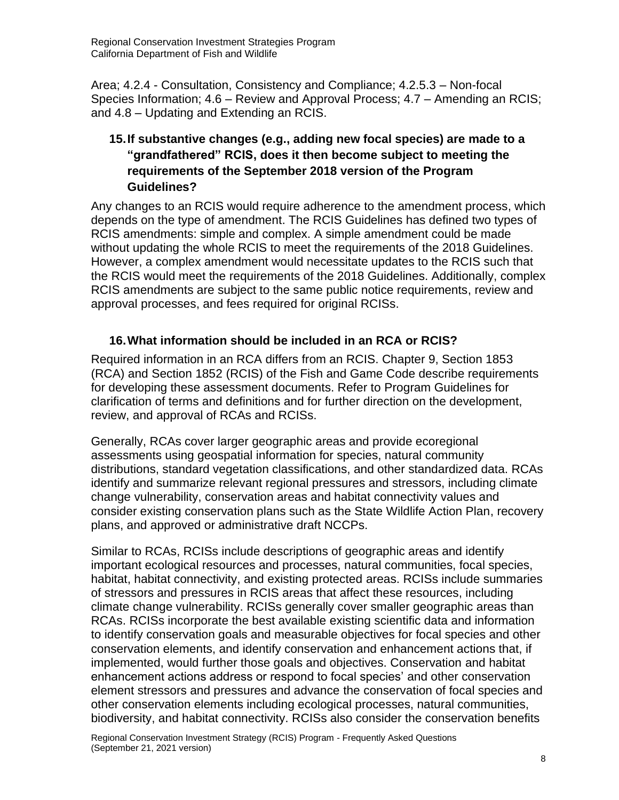Area; 4.2.4 - Consultation, Consistency and Compliance; 4.2.5.3 – Non-focal Species Information; 4.6 – Review and Approval Process; 4.7 – Amending an RCIS; and 4.8 – Updating and Extending an RCIS.

#### <span id="page-7-0"></span>**15.If substantive changes (e.g., adding new focal species) are made to a "grandfathered" RCIS, does it then become subject to meeting the requirements of the September 2018 version of the Program Guidelines?**

Any changes to an RCIS would require adherence to the amendment process, which depends on the type of amendment. The RCIS Guidelines has defined two types of RCIS amendments: simple and complex. A simple amendment could be made without updating the whole RCIS to meet the requirements of the 2018 Guidelines. However, a complex amendment would necessitate updates to the RCIS such that the RCIS would meet the requirements of the 2018 Guidelines. Additionally, complex RCIS amendments are subject to the same public notice requirements, review and approval processes, and fees required for original RCISs.

#### **16.What information should be included in an RCA or RCIS?**

<span id="page-7-2"></span><span id="page-7-1"></span>Required information in an RCA differs from an RCIS. Chapter 9, Section 1853 (RCA) and Section 1852 (RCIS) of the Fish and Game Code describe requirements for developing these assessment documents. Refer to Program Guidelines for clarification of terms and definitions and for further direction on the development, review, and approval of RCAs and RCISs.

Generally, RCAs cover larger geographic areas and provide ecoregional assessments using geospatial information for species, natural community distributions, standard vegetation classifications, and other standardized data. RCAs identify and summarize relevant regional pressures and stressors, including climate change vulnerability, conservation areas and habitat connectivity values and consider existing conservation plans such as the State Wildlife Action Plan, recovery plans, and approved or administrative draft NCCPs.

Similar to RCAs, RCISs include descriptions of geographic areas and identify important ecological resources and processes, natural communities, focal species, habitat, habitat connectivity, and existing protected areas. RCISs include summaries of stressors and pressures in RCIS areas that affect these resources, including climate change vulnerability. RCISs generally cover smaller geographic areas than RCAs. RCISs incorporate the best available existing scientific data and information to identify conservation goals and measurable objectives for focal species and other conservation elements, and identify conservation and enhancement actions that, if implemented, would further those goals and objectives. Conservation and habitat enhancement actions address or respond to focal species' and other conservation element stressors and pressures and advance the conservation of focal species and other conservation elements including ecological processes, natural communities, biodiversity, and habitat connectivity. RCISs also consider the conservation benefits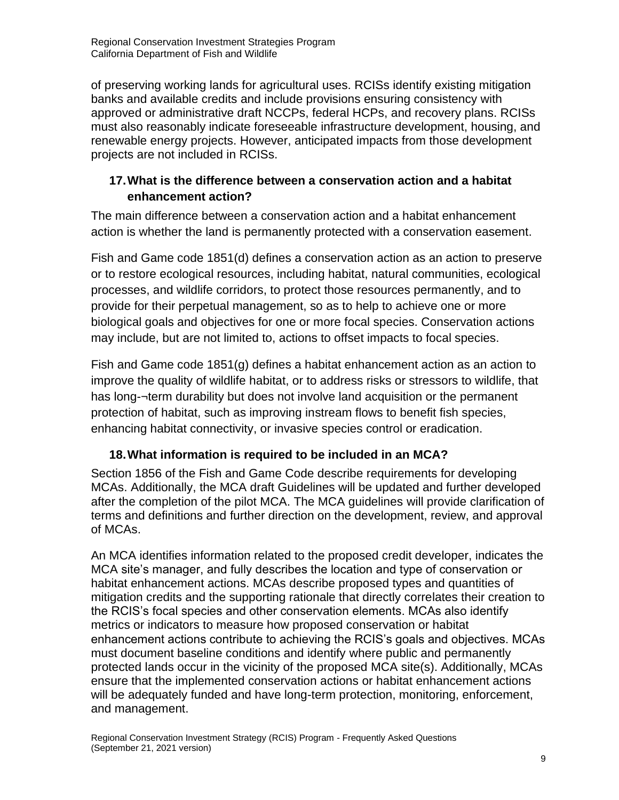of preserving working lands for agricultural uses. RCISs identify existing mitigation banks and available credits and include provisions ensuring consistency with approved or administrative draft NCCPs, federal HCPs, and recovery plans. RCISs must also reasonably indicate foreseeable infrastructure development, housing, and renewable energy projects. However, anticipated impacts from those development projects are not included in RCISs.

#### <span id="page-8-0"></span>**17.What is the difference between a conservation action and a habitat enhancement action?**

The main difference between a conservation action and a habitat enhancement action is whether the land is permanently protected with a conservation easement.

Fish and Game code 1851(d) defines a conservation action as an action to preserve or to restore ecological resources, including habitat, natural communities, ecological processes, and wildlife corridors, to protect those resources permanently, and to provide for their perpetual management, so as to help to achieve one or more biological goals and objectives for one or more focal species. Conservation actions may include, but are not limited to, actions to offset impacts to focal species.

Fish and Game code 1851(g) defines a habitat enhancement action as an action to improve the quality of wildlife habitat, or to address risks or stressors to wildlife, that has long-¬term durability but does not involve land acquisition or the permanent protection of habitat, such as improving instream flows to benefit fish species, enhancing habitat connectivity, or invasive species control or eradication.

# **18.What information is required to be included in an MCA?**

<span id="page-8-1"></span>Section 1856 of the Fish and Game Code describe requirements for developing MCAs. Additionally, the MCA draft Guidelines will be updated and further developed after the completion of the pilot MCA. The MCA guidelines will provide clarification of terms and definitions and further direction on the development, review, and approval of MCAs.

An MCA identifies information related to the proposed credit developer, indicates the MCA site's manager, and fully describes the location and type of conservation or habitat enhancement actions. MCAs describe proposed types and quantities of mitigation credits and the supporting rationale that directly correlates their creation to the RCIS's focal species and other conservation elements. MCAs also identify metrics or indicators to measure how proposed conservation or habitat enhancement actions contribute to achieving the RCIS's goals and objectives. MCAs must document baseline conditions and identify where public and permanently protected lands occur in the vicinity of the proposed MCA site(s). Additionally, MCAs ensure that the implemented conservation actions or habitat enhancement actions will be adequately funded and have long-term protection, monitoring, enforcement, and management.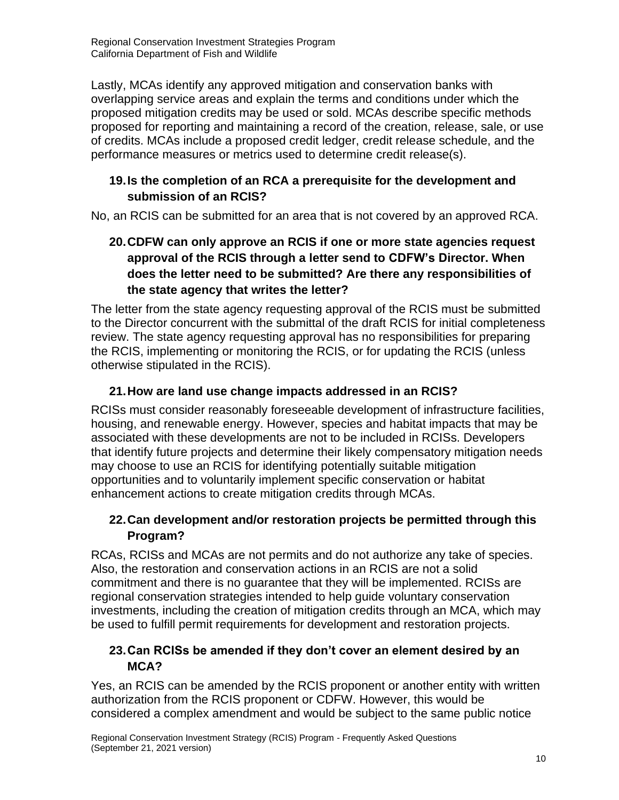Lastly, MCAs identify any approved mitigation and conservation banks with overlapping service areas and explain the terms and conditions under which the proposed mitigation credits may be used or sold. MCAs describe specific methods proposed for reporting and maintaining a record of the creation, release, sale, or use of credits. MCAs include a proposed credit ledger, credit release schedule, and the performance measures or metrics used to determine credit release(s).

#### <span id="page-9-0"></span>**19.Is the completion of an RCA a prerequisite for the development and submission of an RCIS?**

<span id="page-9-1"></span>No, an RCIS can be submitted for an area that is not covered by an approved RCA.

# **20.CDFW can only approve an RCIS if one or more state agencies request approval of the RCIS through a letter send to CDFW's Director. When does the letter need to be submitted? Are there any responsibilities of the state agency that writes the letter?**

The letter from the state agency requesting approval of the RCIS must be submitted to the Director concurrent with the submittal of the draft RCIS for initial completeness review. The state agency requesting approval has no responsibilities for preparing the RCIS, implementing or monitoring the RCIS, or for updating the RCIS (unless otherwise stipulated in the RCIS).

# **21.How are land use change impacts addressed in an RCIS?**

<span id="page-9-2"></span>RCISs must consider reasonably foreseeable development of infrastructure facilities, housing, and renewable energy. However, species and habitat impacts that may be associated with these developments are not to be included in RCISs. Developers that identify future projects and determine their likely compensatory mitigation needs may choose to use an RCIS for identifying potentially suitable mitigation opportunities and to voluntarily implement specific conservation or habitat enhancement actions to create mitigation credits through MCAs.

# <span id="page-9-3"></span>**22.Can development and/or restoration projects be permitted through this Program?**

RCAs, RCISs and MCAs are not permits and do not authorize any take of species. Also, the restoration and conservation actions in an RCIS are not a solid commitment and there is no guarantee that they will be implemented. RCISs are regional conservation strategies intended to help guide voluntary conservation investments, including the creation of mitigation credits through an MCA, which may be used to fulfill permit requirements for development and restoration projects.

# <span id="page-9-4"></span>**23.Can RCISs be amended if they don't cover an element desired by an MCA?**

Yes, an RCIS can be amended by the RCIS proponent or another entity with written authorization from the RCIS proponent or CDFW. However, this would be considered a complex amendment and would be subject to the same public notice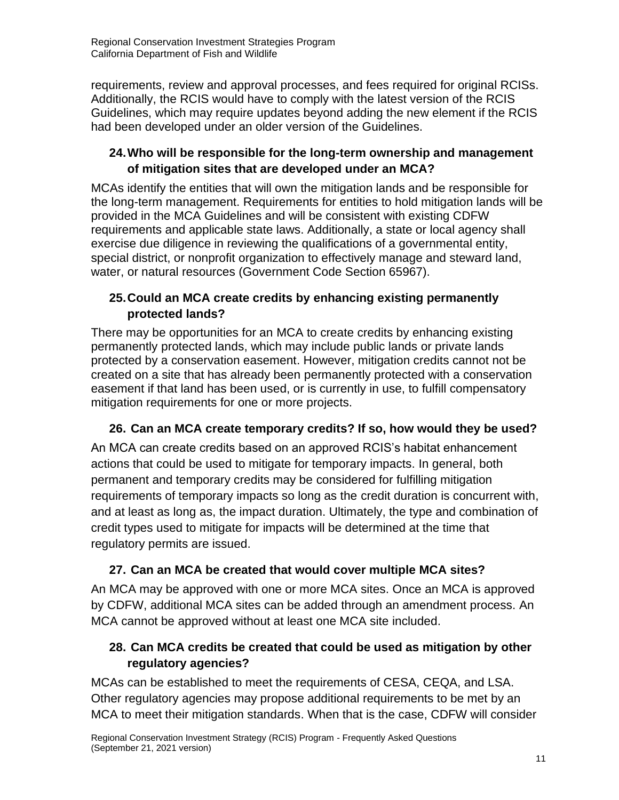requirements, review and approval processes, and fees required for original RCISs. Additionally, the RCIS would have to comply with the latest version of the RCIS Guidelines, which may require updates beyond adding the new element if the RCIS had been developed under an older version of the Guidelines.

# <span id="page-10-0"></span>**24.Who will be responsible for the long-term ownership and management of mitigation sites that are developed under an MCA?**

MCAs identify the entities that will own the mitigation lands and be responsible for the long-term management. Requirements for entities to hold mitigation lands will be provided in the MCA Guidelines and will be consistent with existing CDFW requirements and applicable state laws. Additionally, a state or local agency shall exercise due diligence in reviewing the qualifications of a governmental entity, special district, or nonprofit organization to effectively manage and steward land, water, or natural resources (Government Code Section 65967).

# <span id="page-10-1"></span>**25.Could an MCA create credits by enhancing existing permanently protected lands?**

There may be opportunities for an MCA to create credits by enhancing existing permanently protected lands, which may include public lands or private lands protected by a conservation easement. However, mitigation credits cannot not be created on a site that has already been permanently protected with a conservation easement if that land has been used, or is currently in use, to fulfill compensatory mitigation requirements for one or more projects.

# <span id="page-10-2"></span>**26. Can an MCA create temporary credits? If so, how would they be used?**

An MCA can create credits based on an approved RCIS's habitat enhancement actions that could be used to mitigate for temporary impacts. In general, both permanent and temporary credits may be considered for fulfilling mitigation requirements of temporary impacts so long as the credit duration is concurrent with, and at least as long as, the impact duration. Ultimately, the type and combination of credit types used to mitigate for impacts will be determined at the time that regulatory permits are issued.

# <span id="page-10-3"></span>**27. Can an MCA be created that would cover multiple MCA sites?**

An MCA may be approved with one or more MCA sites. Once an MCA is approved by CDFW, additional MCA sites can be added through an amendment process. An MCA cannot be approved without at least one MCA site included.

# <span id="page-10-4"></span>**28. Can MCA credits be created that could be used as mitigation by other regulatory agencies?**

MCAs can be established to meet the requirements of CESA, CEQA, and LSA. Other regulatory agencies may propose additional requirements to be met by an MCA to meet their mitigation standards. When that is the case, CDFW will consider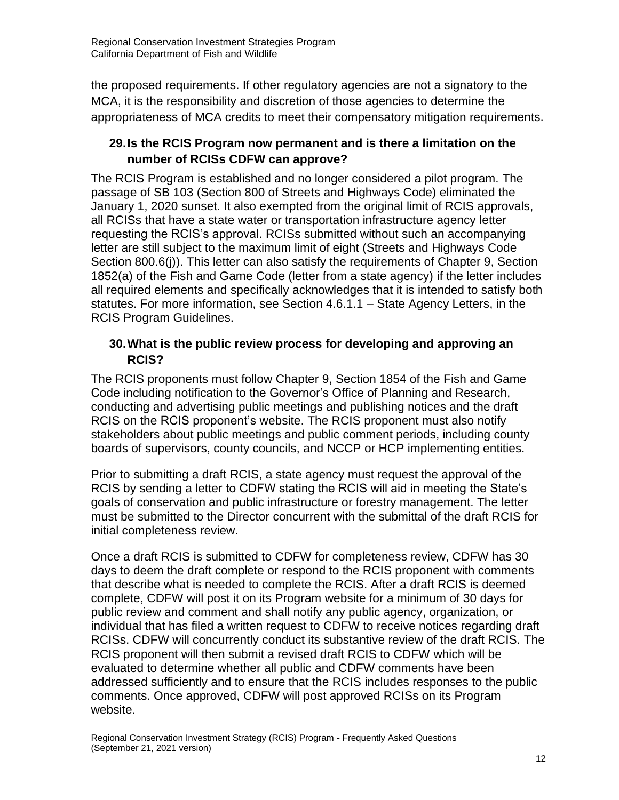the proposed requirements. If other regulatory agencies are not a signatory to the MCA, it is the responsibility and discretion of those agencies to determine the appropriateness of MCA credits to meet their compensatory mitigation requirements.

#### <span id="page-11-0"></span>**29.Is the RCIS Program now permanent and is there a limitation on the number of RCISs CDFW can approve?**

The RCIS Program is established and no longer considered a pilot program. The passage of SB 103 (Section 800 of Streets and Highways Code) eliminated the January 1, 2020 sunset. It also exempted from the original limit of RCIS approvals, all RCISs that have a state water or transportation infrastructure agency letter requesting the RCIS's approval. RCISs submitted without such an accompanying letter are still subject to the maximum limit of eight (Streets and Highways Code Section 800.6(j)). This letter can also satisfy the requirements of Chapter 9, Section 1852(a) of the Fish and Game Code (letter from a state agency) if the letter includes all required elements and specifically acknowledges that it is intended to satisfy both statutes. For more information, see Section 4.6.1.1 – State Agency Letters, in the RCIS Program Guidelines.

#### <span id="page-11-1"></span>**30.What is the public review process for developing and approving an RCIS?**

The RCIS proponents must follow Chapter 9, Section 1854 of the Fish and Game Code including notification to the Governor's Office of Planning and Research, conducting and advertising public meetings and publishing notices and the draft RCIS on the RCIS proponent's website. The RCIS proponent must also notify stakeholders about public meetings and public comment periods, including county boards of supervisors, county councils, and NCCP or HCP implementing entities.

Prior to submitting a draft RCIS, a state agency must request the approval of the RCIS by sending a letter to CDFW stating the RCIS will aid in meeting the State's goals of conservation and public infrastructure or forestry management. The letter must be submitted to the Director concurrent with the submittal of the draft RCIS for initial completeness review.

Once a draft RCIS is submitted to CDFW for completeness review, CDFW has 30 days to deem the draft complete or respond to the RCIS proponent with comments that describe what is needed to complete the RCIS. After a draft RCIS is deemed complete, CDFW will post it on its Program website for a minimum of 30 days for public review and comment and shall notify any public agency, organization, or individual that has filed a written request to CDFW to receive notices regarding draft RCISs. CDFW will concurrently conduct its substantive review of the draft RCIS. The RCIS proponent will then submit a revised draft RCIS to CDFW which will be evaluated to determine whether all public and CDFW comments have been addressed sufficiently and to ensure that the RCIS includes responses to the public comments. Once approved, CDFW will post approved RCISs on its Program website.